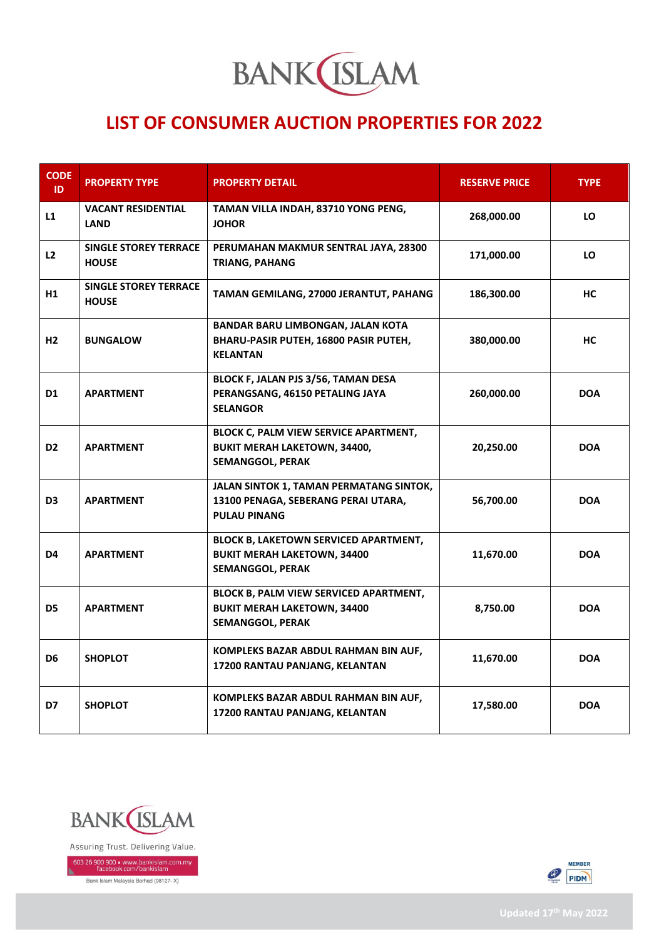

## **LIST OF CONSUMER AUCTION PROPERTIES FOR 2022**

| <b>CODE</b><br>ID. | <b>PROPERTY TYPE</b>                         | <b>PROPERTY DETAIL</b>                                                                                         | <b>RESERVE PRICE</b> | <b>TYPE</b> |
|--------------------|----------------------------------------------|----------------------------------------------------------------------------------------------------------------|----------------------|-------------|
| L1                 | <b>VACANT RESIDENTIAL</b><br><b>LAND</b>     | TAMAN VILLA INDAH, 83710 YONG PENG,<br><b>JOHOR</b>                                                            | 268,000.00           | LO          |
| L2                 | <b>SINGLE STOREY TERRACE</b><br><b>HOUSE</b> | PERUMAHAN MAKMUR SENTRAL JAYA, 28300<br><b>TRIANG, PAHANG</b>                                                  | 171,000.00           | LO          |
| H1                 | <b>SINGLE STOREY TERRACE</b><br><b>HOUSE</b> | TAMAN GEMILANG, 27000 JERANTUT, PAHANG                                                                         | 186,300.00           | НC          |
| H2                 | <b>BUNGALOW</b>                              | BANDAR BARU LIMBONGAN, JALAN KOTA<br>BHARU-PASIR PUTEH, 16800 PASIR PUTEH,<br><b>KELANTAN</b>                  | 380,000.00           | HС          |
| D1                 | <b>APARTMENT</b>                             | BLOCK F, JALAN PJS 3/56, TAMAN DESA<br>PERANGSANG, 46150 PETALING JAYA<br><b>SELANGOR</b>                      | 260,000.00           | <b>DOA</b>  |
| D <sub>2</sub>     | <b>APARTMENT</b>                             | BLOCK C, PALM VIEW SERVICE APARTMENT,<br><b>BUKIT MERAH LAKETOWN, 34400,</b><br><b>SEMANGGOL, PERAK</b>        | 20,250.00            | <b>DOA</b>  |
| D3                 | <b>APARTMENT</b>                             | JALAN SINTOK 1, TAMAN PERMATANG SINTOK,<br>13100 PENAGA, SEBERANG PERAI UTARA,<br><b>PULAU PINANG</b>          | 56,700.00            | <b>DOA</b>  |
| D4                 | <b>APARTMENT</b>                             | <b>BLOCK B, LAKETOWN SERVICED APARTMENT,</b><br><b>BUKIT MERAH LAKETOWN, 34400</b><br>SEMANGGOL, PERAK         | 11,670.00            | <b>DOA</b>  |
| D5                 | <b>APARTMENT</b>                             | <b>BLOCK B, PALM VIEW SERVICED APARTMENT,</b><br><b>BUKIT MERAH LAKETOWN, 34400</b><br><b>SEMANGGOL, PERAK</b> | 8,750.00             | <b>DOA</b>  |
| D6                 | <b>SHOPLOT</b>                               | KOMPLEKS BAZAR ABDUL RAHMAN BIN AUF,<br>17200 RANTAU PANJANG, KELANTAN                                         | 11,670.00            | <b>DOA</b>  |
| D7                 | <b>SHOPLOT</b>                               | KOMPLEKS BAZAR ABDUL RAHMAN BIN AUF,<br>17200 RANTAU PANJANG, KELANTAN                                         | 17,580.00            | <b>DOA</b>  |



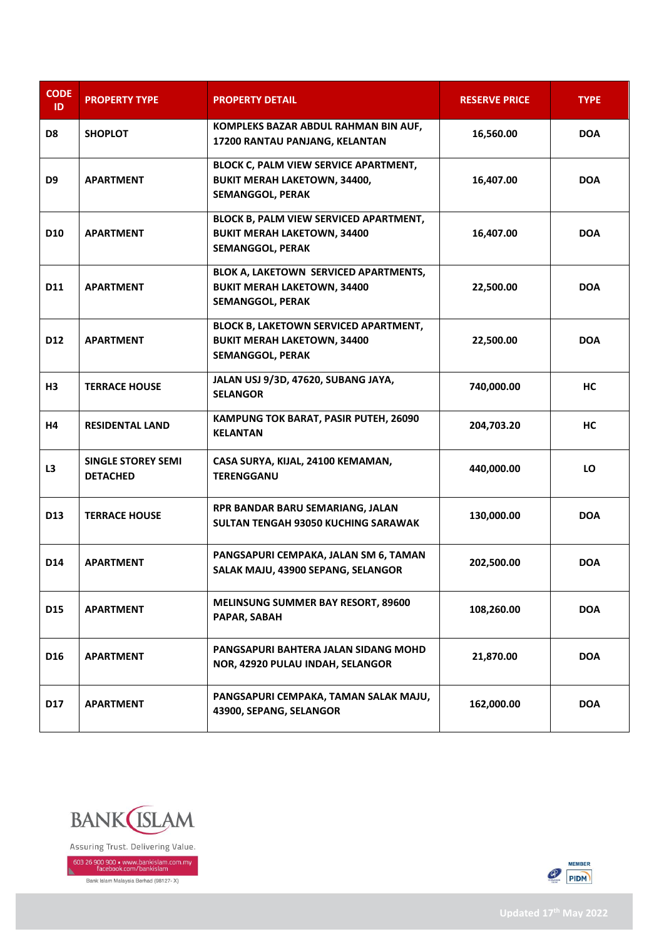| <b>CODE</b><br>ID | <b>PROPERTY TYPE</b>                         | <b>PROPERTY DETAIL</b>                                                                                         | <b>RESERVE PRICE</b> | <b>TYPE</b> |
|-------------------|----------------------------------------------|----------------------------------------------------------------------------------------------------------------|----------------------|-------------|
| D8                | <b>SHOPLOT</b>                               | KOMPLEKS BAZAR ABDUL RAHMAN BIN AUF,<br>17200 RANTAU PANJANG, KELANTAN                                         | 16,560.00            | <b>DOA</b>  |
| D <sub>9</sub>    | <b>APARTMENT</b>                             | <b>BLOCK C, PALM VIEW SERVICE APARTMENT,</b><br><b>BUKIT MERAH LAKETOWN, 34400,</b><br><b>SEMANGGOL, PERAK</b> | 16,407.00            | <b>DOA</b>  |
| <b>D10</b>        | <b>APARTMENT</b>                             | BLOCK B, PALM VIEW SERVICED APARTMENT,<br><b>BUKIT MERAH LAKETOWN, 34400</b><br><b>SEMANGGOL, PERAK</b>        | 16,407.00            | <b>DOA</b>  |
| D11               | <b>APARTMENT</b>                             | BLOK A, LAKETOWN SERVICED APARTMENTS,<br><b>BUKIT MERAH LAKETOWN, 34400</b><br><b>SEMANGGOL, PERAK</b>         | 22,500.00            | <b>DOA</b>  |
| D <sub>12</sub>   | <b>APARTMENT</b>                             | <b>BLOCK B, LAKETOWN SERVICED APARTMENT,</b><br><b>BUKIT MERAH LAKETOWN, 34400</b><br><b>SEMANGGOL, PERAK</b>  | 22,500.00            | <b>DOA</b>  |
| <b>H3</b>         | <b>TERRACE HOUSE</b>                         | JALAN USJ 9/3D, 47620, SUBANG JAYA,<br><b>SELANGOR</b>                                                         | 740,000.00           | НC          |
| <b>H4</b>         | <b>RESIDENTAL LAND</b>                       | KAMPUNG TOK BARAT, PASIR PUTEH, 26090<br><b>KELANTAN</b>                                                       | 204,703.20           | HC          |
| L3                | <b>SINGLE STOREY SEMI</b><br><b>DETACHED</b> | CASA SURYA, KIJAL, 24100 KEMAMAN,<br><b>TERENGGANU</b>                                                         | 440,000.00           | LO          |
| D13               | <b>TERRACE HOUSE</b>                         | RPR BANDAR BARU SEMARIANG, JALAN<br>SULTAN TENGAH 93050 KUCHING SARAWAK                                        | 130,000.00           | <b>DOA</b>  |
| D14               | <b>APARTMENT</b>                             | PANGSAPURI CEMPAKA, JALAN SM 6, TAMAN<br>SALAK MAJU, 43900 SEPANG, SELANGOR                                    | 202,500.00           | <b>DOA</b>  |
| D <sub>15</sub>   | <b>APARTMENT</b>                             | <b>MELINSUNG SUMMER BAY RESORT, 89600</b><br>PAPAR, SABAH                                                      | 108,260.00           | <b>DOA</b>  |
| D <sub>16</sub>   | <b>APARTMENT</b>                             | PANGSAPURI BAHTERA JALAN SIDANG MOHD<br>NOR, 42920 PULAU INDAH, SELANGOR                                       | 21,870.00            | <b>DOA</b>  |
| <b>D17</b>        | <b>APARTMENT</b>                             | PANGSAPURI CEMPAKA, TAMAN SALAK MAJU,<br>43900, SEPANG, SELANGOR                                               | 162,000.00           | <b>DOA</b>  |



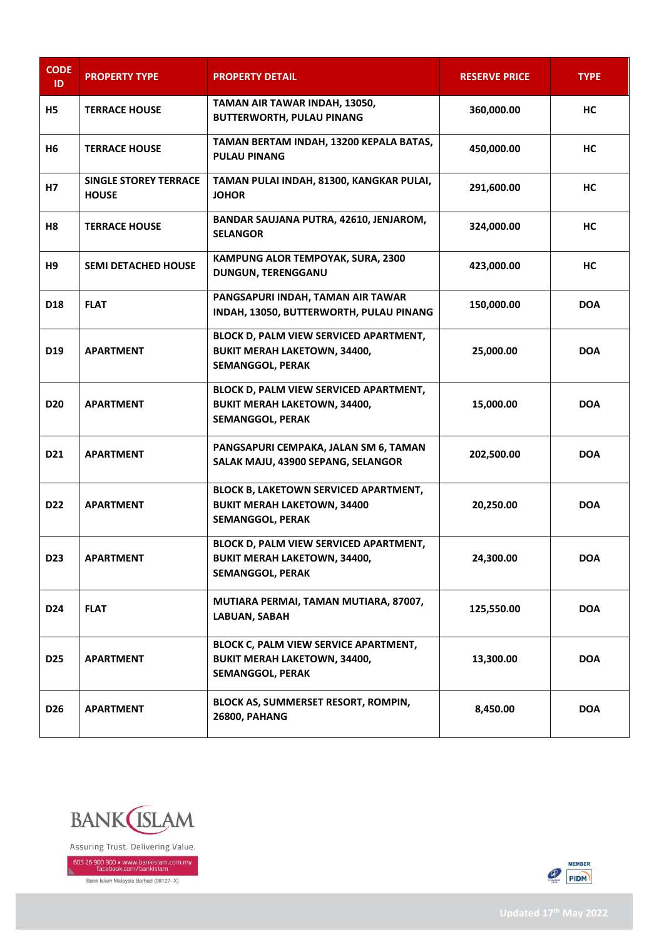| <b>CODE</b><br>ID | <b>PROPERTY TYPE</b>                         | <b>PROPERTY DETAIL</b>                                                                                        | <b>RESERVE PRICE</b> | <b>TYPE</b> |
|-------------------|----------------------------------------------|---------------------------------------------------------------------------------------------------------------|----------------------|-------------|
| H5                | <b>TERRACE HOUSE</b>                         | TAMAN AIR TAWAR INDAH, 13050,<br><b>BUTTERWORTH, PULAU PINANG</b>                                             | 360,000.00           | НC          |
| H6                | <b>TERRACE HOUSE</b>                         | TAMAN BERTAM INDAH, 13200 KEPALA BATAS,<br><b>PULAU PINANG</b>                                                | 450,000.00           | HC          |
| H7                | <b>SINGLE STOREY TERRACE</b><br><b>HOUSE</b> | TAMAN PULAI INDAH, 81300, KANGKAR PULAI,<br><b>JOHOR</b>                                                      | 291,600.00           | НC          |
| H8                | <b>TERRACE HOUSE</b>                         | BANDAR SAUJANA PUTRA, 42610, JENJAROM,<br><b>SELANGOR</b>                                                     | 324,000.00           | HС          |
| H9                | <b>SEMI DETACHED HOUSE</b>                   | KAMPUNG ALOR TEMPOYAK, SURA, 2300<br>DUNGUN, TERENGGANU                                                       | 423,000.00           | HC          |
| D18               | <b>FLAT</b>                                  | PANGSAPURI INDAH, TAMAN AIR TAWAR<br>INDAH, 13050, BUTTERWORTH, PULAU PINANG                                  | 150,000.00           | <b>DOA</b>  |
| D <sub>19</sub>   | <b>APARTMENT</b>                             | BLOCK D, PALM VIEW SERVICED APARTMENT,<br><b>BUKIT MERAH LAKETOWN, 34400,</b><br><b>SEMANGGOL, PERAK</b>      | 25,000.00            | <b>DOA</b>  |
| <b>D20</b>        | <b>APARTMENT</b>                             | BLOCK D, PALM VIEW SERVICED APARTMENT,<br><b>BUKIT MERAH LAKETOWN, 34400,</b><br><b>SEMANGGOL, PERAK</b>      | 15,000.00            | <b>DOA</b>  |
| D <sub>21</sub>   | <b>APARTMENT</b>                             | PANGSAPURI CEMPAKA, JALAN SM 6, TAMAN<br>SALAK MAJU, 43900 SEPANG, SELANGOR                                   | 202,500.00           | <b>DOA</b>  |
| D <sub>22</sub>   | <b>APARTMENT</b>                             | <b>BLOCK B, LAKETOWN SERVICED APARTMENT,</b><br><b>BUKIT MERAH LAKETOWN, 34400</b><br><b>SEMANGGOL, PERAK</b> | 20,250.00            | <b>DOA</b>  |
| D23               | <b>APARTMENT</b>                             | BLOCK D, PALM VIEW SERVICED APARTMENT,<br><b>BUKIT MERAH LAKETOWN, 34400,</b><br><b>SEMANGGOL, PERAK</b>      | 24,300.00            | <b>DOA</b>  |
| D24               | <b>FLAT</b>                                  | MUTIARA PERMAI, TAMAN MUTIARA, 87007,<br>LABUAN, SABAH                                                        | 125,550.00           | <b>DOA</b>  |
| <b>D25</b>        | <b>APARTMENT</b>                             | BLOCK C, PALM VIEW SERVICE APARTMENT,<br><b>BUKIT MERAH LAKETOWN, 34400,</b><br><b>SEMANGGOL, PERAK</b>       | 13,300.00            | <b>DOA</b>  |
| D <sub>26</sub>   | <b>APARTMENT</b>                             | BLOCK AS, SUMMERSET RESORT, ROMPIN,<br><b>26800, PAHANG</b>                                                   | 8,450.00             | <b>DOA</b>  |



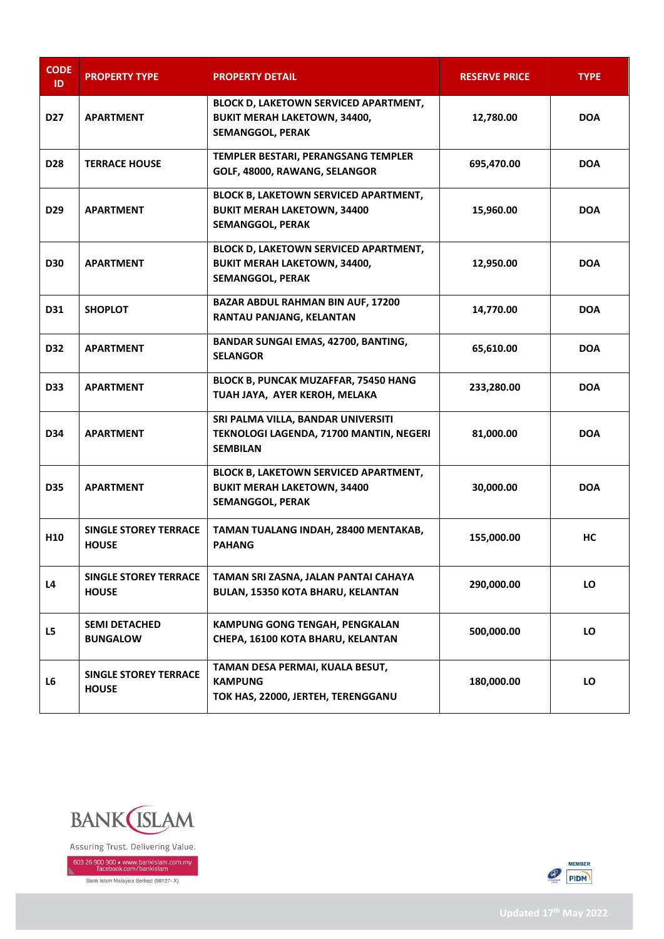| <b>CODE</b><br>ID. | <b>PROPERTY TYPE</b>                         | <b>PROPERTY DETAIL</b>                                                                                        | <b>RESERVE PRICE</b> | <b>TYPE</b> |
|--------------------|----------------------------------------------|---------------------------------------------------------------------------------------------------------------|----------------------|-------------|
| <b>D27</b>         | <b>APARTMENT</b>                             | BLOCK D, LAKETOWN SERVICED APARTMENT,<br><b>BUKIT MERAH LAKETOWN, 34400,</b><br><b>SEMANGGOL, PERAK</b>       | 12,780.00            | <b>DOA</b>  |
| <b>D28</b>         | <b>TERRACE HOUSE</b>                         | TEMPLER BESTARI, PERANGSANG TEMPLER<br>GOLF, 48000, RAWANG, SELANGOR                                          | 695,470.00           | <b>DOA</b>  |
| D <sub>29</sub>    | <b>APARTMENT</b>                             | <b>BLOCK B, LAKETOWN SERVICED APARTMENT,</b><br><b>BUKIT MERAH LAKETOWN, 34400</b><br><b>SEMANGGOL, PERAK</b> | 15,960.00            | <b>DOA</b>  |
| <b>D30</b>         | <b>APARTMENT</b>                             | BLOCK D, LAKETOWN SERVICED APARTMENT,<br><b>BUKIT MERAH LAKETOWN, 34400,</b><br><b>SEMANGGOL, PERAK</b>       | 12,950.00            | <b>DOA</b>  |
| D31                | <b>SHOPLOT</b>                               | <b>BAZAR ABDUL RAHMAN BIN AUF, 17200</b><br>RANTAU PANJANG, KELANTAN                                          | 14,770.00            | <b>DOA</b>  |
| <b>D32</b>         | <b>APARTMENT</b>                             | <b>BANDAR SUNGAI EMAS, 42700, BANTING,</b><br><b>SELANGOR</b>                                                 | 65,610.00            | <b>DOA</b>  |
| <b>D33</b>         | <b>APARTMENT</b>                             | BLOCK B, PUNCAK MUZAFFAR, 75450 HANG<br>TUAH JAYA, AYER KEROH, MELAKA                                         | 233,280.00           | <b>DOA</b>  |
| D34                | <b>APARTMENT</b>                             | SRI PALMA VILLA, BANDAR UNIVERSITI<br>TEKNOLOGI LAGENDA, 71700 MANTIN, NEGERI<br><b>SEMBILAN</b>              | 81,000.00            | <b>DOA</b>  |
| <b>D35</b>         | <b>APARTMENT</b>                             | <b>BLOCK B, LAKETOWN SERVICED APARTMENT,</b><br><b>BUKIT MERAH LAKETOWN, 34400</b><br><b>SEMANGGOL, PERAK</b> | 30,000.00            | <b>DOA</b>  |
| H <sub>10</sub>    | <b>SINGLE STOREY TERRACE</b><br><b>HOUSE</b> | TAMAN TUALANG INDAH, 28400 MENTAKAB,<br><b>PAHANG</b>                                                         | 155,000.00           | НC          |
| L4                 | <b>SINGLE STOREY TERRACE</b><br><b>HOUSE</b> | TAMAN SRI ZASNA, JALAN PANTAI CAHAYA<br>BULAN, 15350 KOTA BHARU, KELANTAN                                     | 290,000.00           | LO          |
| L5                 | <b>SEMI DETACHED</b><br><b>BUNGALOW</b>      | <b>KAMPUNG GONG TENGAH, PENGKALAN</b><br>CHEPA, 16100 KOTA BHARU, KELANTAN                                    | 500,000.00           | LO          |
| L6                 | <b>SINGLE STOREY TERRACE</b><br><b>HOUSE</b> | TAMAN DESA PERMAI, KUALA BESUT,<br><b>KAMPUNG</b><br>TOK HAS, 22000, JERTEH, TERENGGANU                       | 180,000.00           | LO          |



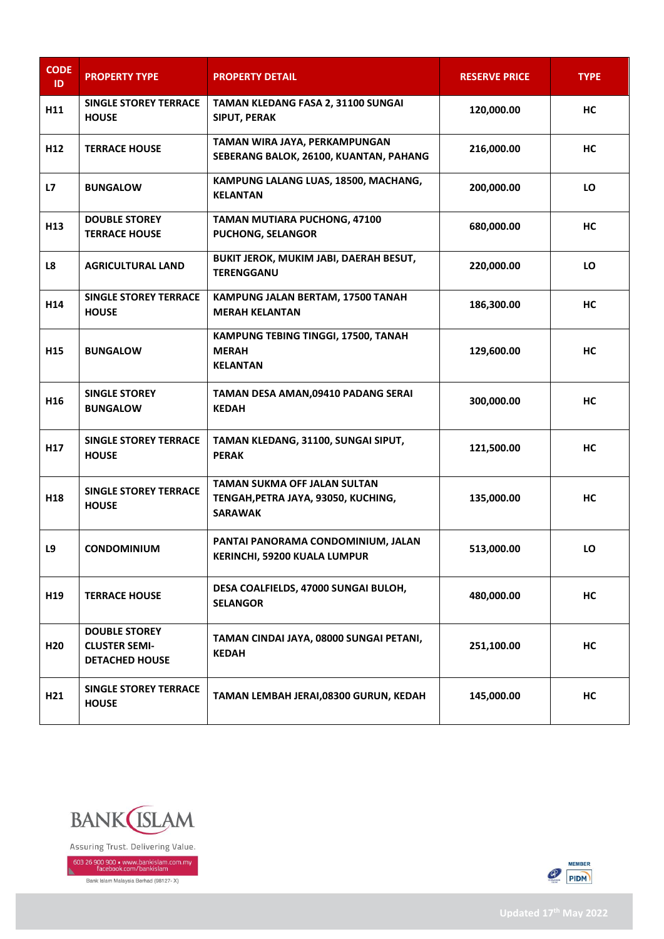| <b>CODE</b><br>ID. | <b>PROPERTY TYPE</b>                                                  | <b>PROPERTY DETAIL</b>                                                                | <b>RESERVE PRICE</b> | <b>TYPE</b> |
|--------------------|-----------------------------------------------------------------------|---------------------------------------------------------------------------------------|----------------------|-------------|
| H11                | <b>SINGLE STOREY TERRACE</b><br><b>HOUSE</b>                          | TAMAN KLEDANG FASA 2, 31100 SUNGAI<br><b>SIPUT, PERAK</b>                             | 120,000.00           | НC          |
| H <sub>12</sub>    | <b>TERRACE HOUSE</b>                                                  | TAMAN WIRA JAYA, PERKAMPUNGAN<br>SEBERANG BALOK, 26100, KUANTAN, PAHANG               | 216,000.00           | НC          |
| L7                 | <b>BUNGALOW</b>                                                       | KAMPUNG LALANG LUAS, 18500, MACHANG,<br><b>KELANTAN</b>                               | 200,000.00           | LO          |
| H <sub>13</sub>    | <b>DOUBLE STOREY</b><br><b>TERRACE HOUSE</b>                          | <b>TAMAN MUTIARA PUCHONG, 47100</b><br><b>PUCHONG, SELANGOR</b>                       | 680,000.00           | НC          |
| L8                 | <b>AGRICULTURAL LAND</b>                                              | BUKIT JEROK, MUKIM JABI, DAERAH BESUT,<br><b>TERENGGANU</b>                           | 220,000.00           | LO          |
| H <sub>14</sub>    | <b>SINGLE STOREY TERRACE</b><br><b>HOUSE</b>                          | KAMPUNG JALAN BERTAM, 17500 TANAH<br><b>MERAH KELANTAN</b>                            | 186,300.00           | НC          |
| H <sub>15</sub>    | <b>BUNGALOW</b>                                                       | KAMPUNG TEBING TINGGI, 17500, TANAH<br><b>MERAH</b><br><b>KELANTAN</b>                | 129,600.00           | НC          |
| H <sub>16</sub>    | <b>SINGLE STOREY</b><br><b>BUNGALOW</b>                               | TAMAN DESA AMAN,09410 PADANG SERAI<br><b>KEDAH</b>                                    | 300,000.00           | НC          |
| H <sub>17</sub>    | <b>SINGLE STOREY TERRACE</b><br><b>HOUSE</b>                          | TAMAN KLEDANG, 31100, SUNGAI SIPUT,<br><b>PERAK</b>                                   | 121,500.00           | HC          |
| H18                | <b>SINGLE STOREY TERRACE</b><br><b>HOUSE</b>                          | <b>TAMAN SUKMA OFF JALAN SULTAN</b><br>TENGAH, PETRA JAYA, 93050, KUCHING,<br>SARAWAK | 135,000.00           | НC          |
| L9                 | <b>CONDOMINIUM</b>                                                    | PANTAI PANORAMA CONDOMINIUM, JALAN<br>KERINCHI, 59200 KUALA LUMPUR                    | 513,000.00           | LO          |
| H <sub>19</sub>    | <b>TERRACE HOUSE</b>                                                  | DESA COALFIELDS, 47000 SUNGAI BULOH,<br><b>SELANGOR</b>                               | 480,000.00           | НC          |
| H <sub>20</sub>    | <b>DOUBLE STOREY</b><br><b>CLUSTER SEMI-</b><br><b>DETACHED HOUSE</b> | TAMAN CINDAI JAYA, 08000 SUNGAI PETANI,<br><b>KEDAH</b>                               | 251,100.00           | НC          |
| H21                | <b>SINGLE STOREY TERRACE</b><br><b>HOUSE</b>                          | TAMAN LEMBAH JERAI,08300 GURUN, KEDAH                                                 | 145,000.00           | НC          |